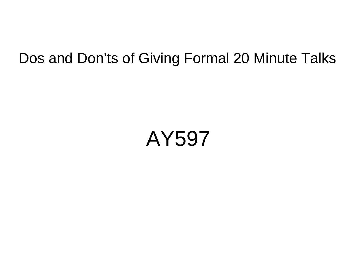### Dos and Don'ts of Giving Formal 20 Minute Talks

# AY597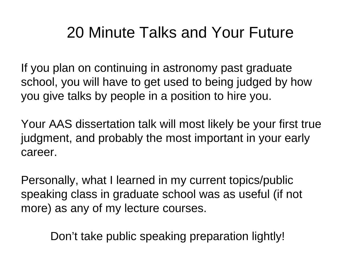# 20 Minute Talks and Your Future

If you plan on continuing in astronomy past graduate school, you will have to get used to being judged by how you give talks by people in a position to hire you.

Your AAS dissertation talk will most likely be your first true judgment, and probably the most important in your early career.

Personally, what I learned in my current topics/public speaking class in graduate school was as useful (if not more) as any of my lecture courses.

Don't take public speaking preparation lightly!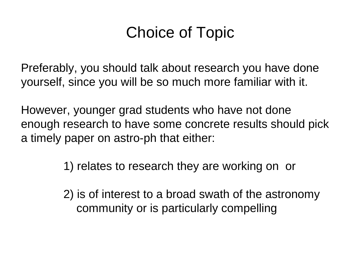# Choice of Topic

Preferably, you should talk about research you have done yourself, since you will be so much more familiar with it.

However, younger grad students who have not done enough research to have some concrete results should pick a timely paper on astro-ph that either:

1) relates to research they are working on or

 2) is of interest to a broad swath of the astronomy community or is particularly compelling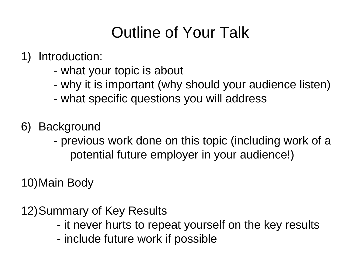# Outline of Your Talk

#### 1) Introduction:

- what your topic is about
- why it is important (why should your audience listen)
- what specific questions you will address
- 6) Background
	- previous work done on this topic (including work of a potential future employer in your audience!)

10)Main Body

12)Summary of Key Results

- it never hurts to repeat yourself on the key results
- include future work if possible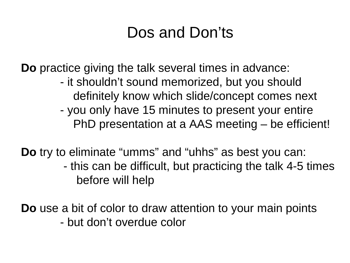# Dos and Don'ts

**Do** practice giving the talk several times in advance:

- it shouldn't sound memorized, but you should definitely know which slide/concept comes next
- you only have 15 minutes to present your entire PhD presentation at a AAS meeting – be efficient!

**Do** try to eliminate "umms" and "uhhs" as best you can:

 - this can be difficult, but practicing the talk 4-5 times before will help

**Do** use a bit of color to draw attention to your main points - but don't overdue color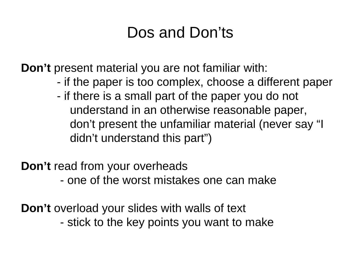# Dos and Don'ts

**Don't** present material you are not familiar with:

- if the paper is too complex, choose a different paper
- if there is a small part of the paper you do not understand in an otherwise reasonable paper, don't present the unfamiliar material (never say "I didn't understand this part")

**Don't** read from your overheads

- one of the worst mistakes one can make

**Don't** overload your slides with walls of text - stick to the key points you want to make